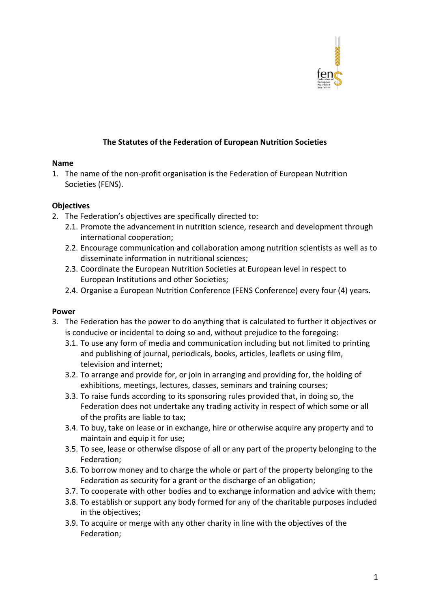

## **The Statutes of the Federation of European Nutrition Societies**

#### **Name**

1. The name of the non-profit organisation is the Federation of European Nutrition Societies (FENS).

#### **Objectives**

- 2. The Federation's objectives are specifically directed to:
	- 2.1. Promote the advancement in nutrition science, research and development through international cooperation;
	- 2.2. Encourage communication and collaboration among nutrition scientists as well as to disseminate information in nutritional sciences;
	- 2.3. Coordinate the European Nutrition Societies at European level in respect to European Institutions and other Societies;
	- 2.4. Organise a European Nutrition Conference (FENS Conference) every four (4) years.

### **Power**

- 3. The Federation has the power to do anything that is calculated to further it objectives or is conducive or incidental to doing so and, without prejudice to the foregoing:
	- 3.1. To use any form of media and communication including but not limited to printing and publishing of journal, periodicals, books, articles, leaflets or using film, television and internet;
	- 3.2. To arrange and provide for, or join in arranging and providing for, the holding of exhibitions, meetings, lectures, classes, seminars and training courses;
	- 3.3. To raise funds according to its sponsoring rules provided that, in doing so, the Federation does not undertake any trading activity in respect of which some or all of the profits are liable to tax;
	- 3.4. To buy, take on lease or in exchange, hire or otherwise acquire any property and to maintain and equip it for use;
	- 3.5. To see, lease or otherwise dispose of all or any part of the property belonging to the Federation;
	- 3.6. To borrow money and to charge the whole or part of the property belonging to the Federation as security for a grant or the discharge of an obligation;
	- 3.7. To cooperate with other bodies and to exchange information and advice with them;
	- 3.8. To establish or support any body formed for any of the charitable purposes included in the objectives;
	- 3.9. To acquire or merge with any other charity in line with the objectives of the Federation;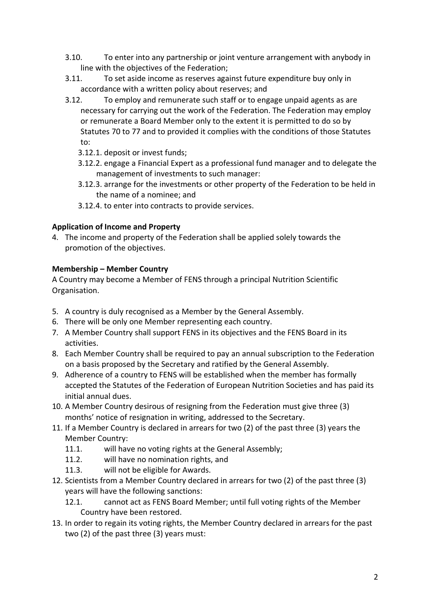- 3.10. To enter into any partnership or joint venture arrangement with anybody in line with the objectives of the Federation;
- 3.11. To set aside income as reserves against future expenditure buy only in accordance with a written policy about reserves; and
- 3.12. To employ and remunerate such staff or to engage unpaid agents as are necessary for carrying out the work of the Federation. The Federation may employ or remunerate a Board Member only to the extent it is permitted to do so by Statutes 70 to 77 and to provided it complies with the conditions of those Statutes to:
	- 3.12.1. deposit or invest funds;
	- 3.12.2. engage a Financial Expert as a professional fund manager and to delegate the management of investments to such manager:
	- 3.12.3. arrange for the investments or other property of the Federation to be held in the name of a nominee; and
	- 3.12.4. to enter into contracts to provide services.

## **Application of Income and Property**

4. The income and property of the Federation shall be applied solely towards the promotion of the objectives.

## **Membership – Member Country**

A Country may become a Member of FENS through a principal Nutrition Scientific Organisation.

- 5. A country is duly recognised as a Member by the General Assembly.
- 6. There will be only one Member representing each country.
- 7. A Member Country shall support FENS in its objectives and the FENS Board in its activities.
- 8. Each Member Country shall be required to pay an annual subscription to the Federation on a basis proposed by the Secretary and ratified by the General Assembly.
- 9. Adherence of a country to FENS will be established when the member has formally accepted the Statutes of the Federation of European Nutrition Societies and has paid its initial annual dues.
- 10. A Member Country desirous of resigning from the Federation must give three (3) months' notice of resignation in writing, addressed to the Secretary.
- 11. If a Member Country is declared in arrears for two (2) of the past three (3) years the Member Country:
	- 11.1. will have no voting rights at the General Assembly;
	- 11.2. will have no nomination rights, and
	- 11.3. will not be eligible for Awards.
- 12. Scientists from a Member Country declared in arrears for two (2) of the past three (3) years will have the following sanctions:
	- 12.1. cannot act as FENS Board Member; until full voting rights of the Member Country have been restored.
- 13. In order to regain its voting rights, the Member Country declared in arrears for the past two (2) of the past three (3) years must: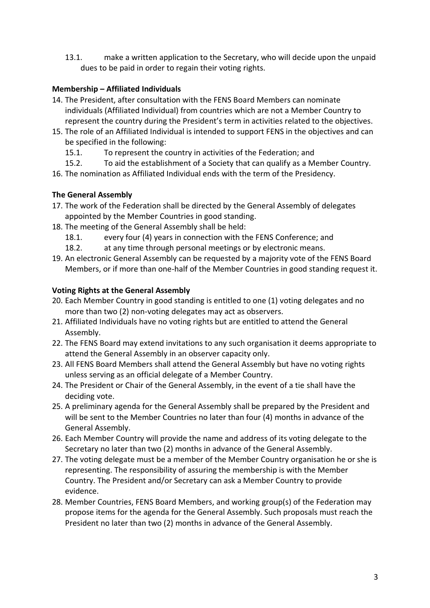13.1. make a written application to the Secretary, who will decide upon the unpaid dues to be paid in order to regain their voting rights.

## **Membership – Affiliated Individuals**

- 14. The President, after consultation with the FENS Board Members can nominate individuals (Affiliated Individual) from countries which are not a Member Country to represent the country during the President's term in activities related to the objectives.
- 15. The role of an Affiliated Individual is intended to support FENS in the objectives and can be specified in the following:
	- 15.1. To represent the country in activities of the Federation; and
- 15.2. To aid the establishment of a Society that can qualify as a Member Country.
- 16. The nomination as Affiliated Individual ends with the term of the Presidency.

# **The General Assembly**

- 17. The work of the Federation shall be directed by the General Assembly of delegates appointed by the Member Countries in good standing.
- 18. The meeting of the General Assembly shall be held:
	- 18.1. every four (4) years in connection with the FENS Conference; and
	- 18.2. at any time through personal meetings or by electronic means.
- 19. An electronic General Assembly can be requested by a majority vote of the FENS Board Members, or if more than one-half of the Member Countries in good standing request it.

## **Voting Rights at the General Assembly**

- 20. Each Member Country in good standing is entitled to one (1) voting delegates and no more than two (2) non-voting delegates may act as observers.
- 21. Affiliated Individuals have no voting rights but are entitled to attend the General Assembly.
- 22. The FENS Board may extend invitations to any such organisation it deems appropriate to attend the General Assembly in an observer capacity only.
- 23. All FENS Board Members shall attend the General Assembly but have no voting rights unless serving as an official delegate of a Member Country.
- 24. The President or Chair of the General Assembly, in the event of a tie shall have the deciding vote.
- 25. A preliminary agenda for the General Assembly shall be prepared by the President and will be sent to the Member Countries no later than four (4) months in advance of the General Assembly.
- 26. Each Member Country will provide the name and address of its voting delegate to the Secretary no later than two (2) months in advance of the General Assembly.
- 27. The voting delegate must be a member of the Member Country organisation he or she is representing. The responsibility of assuring the membership is with the Member Country. The President and/or Secretary can ask a Member Country to provide evidence.
- 28. Member Countries, FENS Board Members, and working group(s) of the Federation may propose items for the agenda for the General Assembly. Such proposals must reach the President no later than two (2) months in advance of the General Assembly.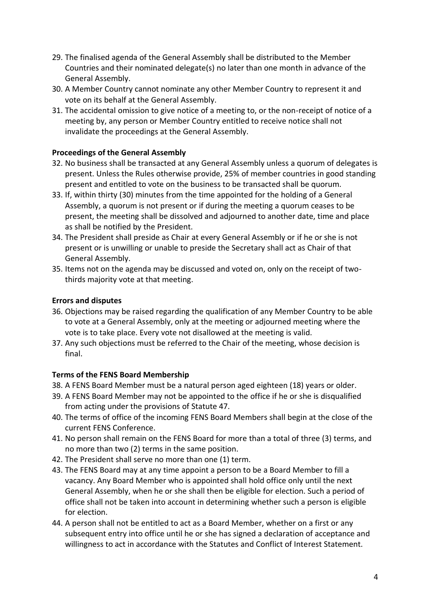- 29. The finalised agenda of the General Assembly shall be distributed to the Member Countries and their nominated delegate(s) no later than one month in advance of the General Assembly.
- 30. A Member Country cannot nominate any other Member Country to represent it and vote on its behalf at the General Assembly.
- 31. The accidental omission to give notice of a meeting to, or the non-receipt of notice of a meeting by, any person or Member Country entitled to receive notice shall not invalidate the proceedings at the General Assembly.

### **Proceedings of the General Assembly**

- 32. No business shall be transacted at any General Assembly unless a quorum of delegates is present. Unless the Rules otherwise provide, 25% of member countries in good standing present and entitled to vote on the business to be transacted shall be quorum.
- 33. If, within thirty (30) minutes from the time appointed for the holding of a General Assembly, a quorum is not present or if during the meeting a quorum ceases to be present, the meeting shall be dissolved and adjourned to another date, time and place as shall be notified by the President.
- 34. The President shall preside as Chair at every General Assembly or if he or she is not present or is unwilling or unable to preside the Secretary shall act as Chair of that General Assembly.
- 35. Items not on the agenda may be discussed and voted on, only on the receipt of twothirds majority vote at that meeting.

## **Errors and disputes**

- 36. Objections may be raised regarding the qualification of any Member Country to be able to vote at a General Assembly, only at the meeting or adjourned meeting where the vote is to take place. Every vote not disallowed at the meeting is valid.
- 37. Any such objections must be referred to the Chair of the meeting, whose decision is final.

# **Terms of the FENS Board Membership**

- 38. A FENS Board Member must be a natural person aged eighteen (18) years or older.
- 39. A FENS Board Member may not be appointed to the office if he or she is disqualified from acting under the provisions of Statute 47.
- 40. The terms of office of the incoming FENS Board Members shall begin at the close of the current FENS Conference.
- 41. No person shall remain on the FENS Board for more than a total of three (3) terms, and no more than two (2) terms in the same position.
- 42. The President shall serve no more than one (1) term.
- 43. The FENS Board may at any time appoint a person to be a Board Member to fill a vacancy. Any Board Member who is appointed shall hold office only until the next General Assembly, when he or she shall then be eligible for election. Such a period of office shall not be taken into account in determining whether such a person is eligible for election.
- 44. A person shall not be entitled to act as a Board Member, whether on a first or any subsequent entry into office until he or she has signed a declaration of acceptance and willingness to act in accordance with the Statutes and Conflict of Interest Statement.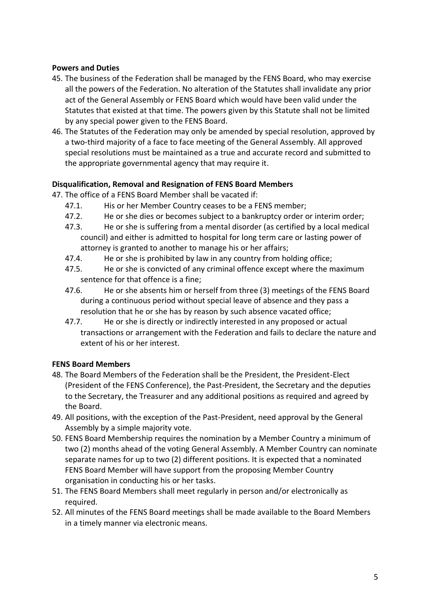## **Powers and Duties**

- 45. The business of the Federation shall be managed by the FENS Board, who may exercise all the powers of the Federation. No alteration of the Statutes shall invalidate any prior act of the General Assembly or FENS Board which would have been valid under the Statutes that existed at that time. The powers given by this Statute shall not be limited by any special power given to the FENS Board.
- 46. The Statutes of the Federation may only be amended by special resolution, approved by a two-third majority of a face to face meeting of the General Assembly. All approved special resolutions must be maintained as a true and accurate record and submitted to the appropriate governmental agency that may require it.

## **Disqualification, Removal and Resignation of FENS Board Members**

- 47. The office of a FENS Board Member shall be vacated if:
	- 47.1. His or her Member Country ceases to be a FENS member;
	- 47.2. He or she dies or becomes subject to a bankruptcy order or interim order;
	- 47.3. He or she is suffering from a mental disorder (as certified by a local medical council) and either is admitted to hospital for long term care or lasting power of attorney is granted to another to manage his or her affairs;
	- 47.4. He or she is prohibited by law in any country from holding office;
	- 47.5. He or she is convicted of any criminal offence except where the maximum sentence for that offence is a fine;
	- 47.6. He or she absents him or herself from three (3) meetings of the FENS Board during a continuous period without special leave of absence and they pass a resolution that he or she has by reason by such absence vacated office;
	- 47.7. He or she is directly or indirectly interested in any proposed or actual transactions or arrangement with the Federation and fails to declare the nature and extent of his or her interest.

# **FENS Board Members**

- 48. The Board Members of the Federation shall be the President, the President-Elect (President of the FENS Conference), the Past-President, the Secretary and the deputies to the Secretary, the Treasurer and any additional positions as required and agreed by the Board.
- 49. All positions, with the exception of the Past-President, need approval by the General Assembly by a simple majority vote.
- 50. FENS Board Membership requires the nomination by a Member Country a minimum of two (2) months ahead of the voting General Assembly. A Member Country can nominate separate names for up to two (2) different positions. It is expected that a nominated FENS Board Member will have support from the proposing Member Country organisation in conducting his or her tasks.
- 51. The FENS Board Members shall meet regularly in person and/or electronically as required.
- 52. All minutes of the FENS Board meetings shall be made available to the Board Members in a timely manner via electronic means.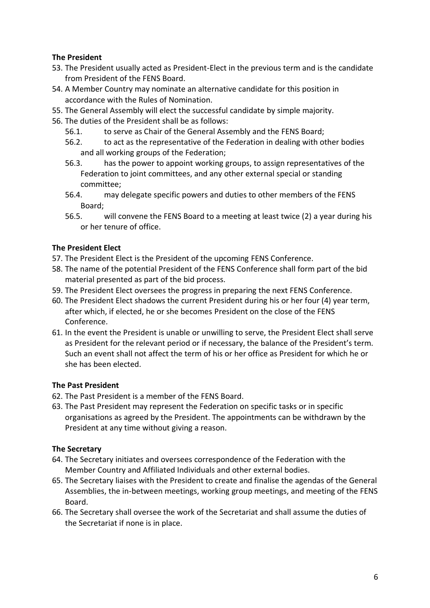## **The President**

- 53. The President usually acted as President-Elect in the previous term and is the candidate from President of the FENS Board.
- 54. A Member Country may nominate an alternative candidate for this position in accordance with the Rules of Nomination.
- 55. The General Assembly will elect the successful candidate by simple majority.
- 56. The duties of the President shall be as follows:
	- 56.1. to serve as Chair of the General Assembly and the FENS Board;
	- 56.2. to act as the representative of the Federation in dealing with other bodies and all working groups of the Federation;
	- 56.3. has the power to appoint working groups, to assign representatives of the Federation to joint committees, and any other external special or standing committee;
	- 56.4. may delegate specific powers and duties to other members of the FENS Board;
	- 56.5. will convene the FENS Board to a meeting at least twice (2) a year during his or her tenure of office.

## **The President Elect**

- 57. The President Elect is the President of the upcoming FENS Conference.
- 58. The name of the potential President of the FENS Conference shall form part of the bid material presented as part of the bid process.
- 59. The President Elect oversees the progress in preparing the next FENS Conference.
- 60. The President Elect shadows the current President during his or her four (4) year term, after which, if elected, he or she becomes President on the close of the FENS Conference.
- 61. In the event the President is unable or unwilling to serve, the President Elect shall serve as President for the relevant period or if necessary, the balance of the President's term. Such an event shall not affect the term of his or her office as President for which he or she has been elected.

# **The Past President**

- 62. The Past President is a member of the FENS Board.
- 63. The Past President may represent the Federation on specific tasks or in specific organisations as agreed by the President. The appointments can be withdrawn by the President at any time without giving a reason.

### **The Secretary**

- 64. The Secretary initiates and oversees correspondence of the Federation with the Member Country and Affiliated Individuals and other external bodies.
- 65. The Secretary liaises with the President to create and finalise the agendas of the General Assemblies, the in-between meetings, working group meetings, and meeting of the FENS Board.
- 66. The Secretary shall oversee the work of the Secretariat and shall assume the duties of the Secretariat if none is in place.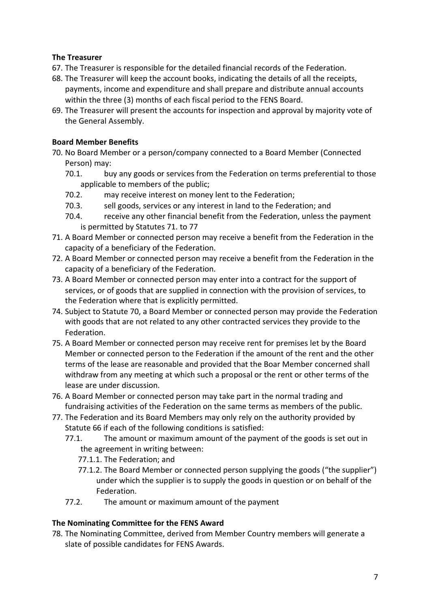## **The Treasurer**

- 67. The Treasurer is responsible for the detailed financial records of the Federation.
- 68. The Treasurer will keep the account books, indicating the details of all the receipts, payments, income and expenditure and shall prepare and distribute annual accounts within the three (3) months of each fiscal period to the FENS Board.
- 69. The Treasurer will present the accounts for inspection and approval by majority vote of the General Assembly.

## **Board Member Benefits**

- 70. No Board Member or a person/company connected to a Board Member (Connected Person) may:
	- 70.1. buy any goods or services from the Federation on terms preferential to those applicable to members of the public;
	- 70.2. may receive interest on money lent to the Federation;
	- 70.3. sell goods, services or any interest in land to the Federation; and
	- 70.4. receive any other financial benefit from the Federation, unless the payment is permitted by Statutes 71. to 77
- 71. A Board Member or connected person may receive a benefit from the Federation in the capacity of a beneficiary of the Federation.
- 72. A Board Member or connected person may receive a benefit from the Federation in the capacity of a beneficiary of the Federation.
- 73. A Board Member or connected person may enter into a contract for the support of services, or of goods that are supplied in connection with the provision of services, to the Federation where that is explicitly permitted.
- 74. Subject to Statute 70, a Board Member or connected person may provide the Federation with goods that are not related to any other contracted services they provide to the Federation.
- 75. A Board Member or connected person may receive rent for premises let by the Board Member or connected person to the Federation if the amount of the rent and the other terms of the lease are reasonable and provided that the Boar Member concerned shall withdraw from any meeting at which such a proposal or the rent or other terms of the lease are under discussion.
- 76. A Board Member or connected person may take part in the normal trading and fundraising activities of the Federation on the same terms as members of the public.
- 77. The Federation and its Board Members may only rely on the authority provided by Statute 66 if each of the following conditions is satisfied:
	- 77.1. The amount or maximum amount of the payment of the goods is set out in the agreement in writing between:
		- 77.1.1. The Federation; and
		- 77.1.2. The Board Member or connected person supplying the goods ("the supplier") under which the supplier is to supply the goods in question or on behalf of the Federation.
	- 77.2. The amount or maximum amount of the payment

# **The Nominating Committee for the FENS Award**

78. The Nominating Committee, derived from Member Country members will generate a slate of possible candidates for FENS Awards.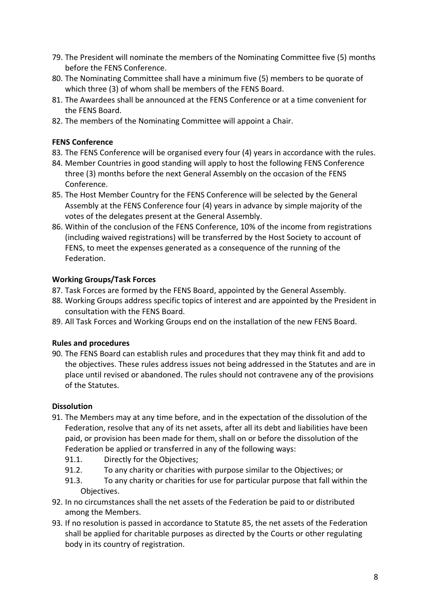- 79. The President will nominate the members of the Nominating Committee five (5) months before the FENS Conference.
- 80. The Nominating Committee shall have a minimum five (5) members to be quorate of which three (3) of whom shall be members of the FENS Board.
- 81. The Awardees shall be announced at the FENS Conference or at a time convenient for the FENS Board.
- 82. The members of the Nominating Committee will appoint a Chair.

### **FENS Conference**

- 83. The FENS Conference will be organised every four (4) years in accordance with the rules.
- 84. Member Countries in good standing will apply to host the following FENS Conference three (3) months before the next General Assembly on the occasion of the FENS Conference.
- 85. The Host Member Country for the FENS Conference will be selected by the General Assembly at the FENS Conference four (4) years in advance by simple majority of the votes of the delegates present at the General Assembly.
- 86. Within of the conclusion of the FENS Conference, 10% of the income from registrations (including waived registrations) will be transferred by the Host Society to account of FENS, to meet the expenses generated as a consequence of the running of the Federation.

#### **Working Groups/Task Forces**

- 87. Task Forces are formed by the FENS Board, appointed by the General Assembly.
- 88. Working Groups address specific topics of interest and are appointed by the President in consultation with the FENS Board.
- 89. All Task Forces and Working Groups end on the installation of the new FENS Board.

### **Rules and procedures**

90. The FENS Board can establish rules and procedures that they may think fit and add to the objectives. These rules address issues not being addressed in the Statutes and are in place until revised or abandoned. The rules should not contravene any of the provisions of the Statutes.

### **Dissolution**

- 91. The Members may at any time before, and in the expectation of the dissolution of the Federation, resolve that any of its net assets, after all its debt and liabilities have been paid, or provision has been made for them, shall on or before the dissolution of the Federation be applied or transferred in any of the following ways:
	- 91.1. Directly for the Objectives;
	- 91.2. To any charity or charities with purpose similar to the Objectives; or
	- 91.3. To any charity or charities for use for particular purpose that fall within the Objectives.
- 92. In no circumstances shall the net assets of the Federation be paid to or distributed among the Members.
- 93. If no resolution is passed in accordance to Statute 85, the net assets of the Federation shall be applied for charitable purposes as directed by the Courts or other regulating body in its country of registration.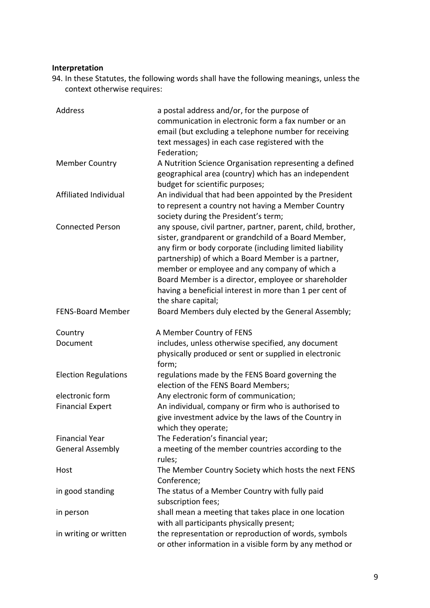# **Interpretation**

94. In these Statutes, the following words shall have the following meanings, unless the context otherwise requires:

| Address                     | a postal address and/or, for the purpose of<br>communication in electronic form a fax number or an<br>email (but excluding a telephone number for receiving<br>text messages) in each case registered with the<br>Federation;                                                                                                                                                                                                 |
|-----------------------------|-------------------------------------------------------------------------------------------------------------------------------------------------------------------------------------------------------------------------------------------------------------------------------------------------------------------------------------------------------------------------------------------------------------------------------|
| <b>Member Country</b>       | A Nutrition Science Organisation representing a defined<br>geographical area (country) which has an independent<br>budget for scientific purposes;                                                                                                                                                                                                                                                                            |
| Affiliated Individual       | An individual that had been appointed by the President<br>to represent a country not having a Member Country<br>society during the President's term;                                                                                                                                                                                                                                                                          |
| <b>Connected Person</b>     | any spouse, civil partner, partner, parent, child, brother,<br>sister, grandparent or grandchild of a Board Member,<br>any firm or body corporate (including limited liability<br>partnership) of which a Board Member is a partner,<br>member or employee and any company of which a<br>Board Member is a director, employee or shareholder<br>having a beneficial interest in more than 1 per cent of<br>the share capital; |
| <b>FENS-Board Member</b>    | Board Members duly elected by the General Assembly;                                                                                                                                                                                                                                                                                                                                                                           |
| Country                     |                                                                                                                                                                                                                                                                                                                                                                                                                               |
| Document                    | A Member Country of FENS<br>includes, unless otherwise specified, any document<br>physically produced or sent or supplied in electronic                                                                                                                                                                                                                                                                                       |
| <b>Election Regulations</b> | form;<br>regulations made by the FENS Board governing the<br>election of the FENS Board Members;                                                                                                                                                                                                                                                                                                                              |
| electronic form             | Any electronic form of communication;                                                                                                                                                                                                                                                                                                                                                                                         |
| <b>Financial Expert</b>     | An individual, company or firm who is authorised to<br>give investment advice by the laws of the Country in<br>which they operate;                                                                                                                                                                                                                                                                                            |
| <b>Financial Year</b>       | The Federation's financial year;                                                                                                                                                                                                                                                                                                                                                                                              |
| <b>General Assembly</b>     | a meeting of the member countries according to the<br>rules;                                                                                                                                                                                                                                                                                                                                                                  |
| Host                        | The Member Country Society which hosts the next FENS<br>Conference;                                                                                                                                                                                                                                                                                                                                                           |
| in good standing            | The status of a Member Country with fully paid<br>subscription fees;                                                                                                                                                                                                                                                                                                                                                          |
| in person                   | shall mean a meeting that takes place in one location<br>with all participants physically present;                                                                                                                                                                                                                                                                                                                            |